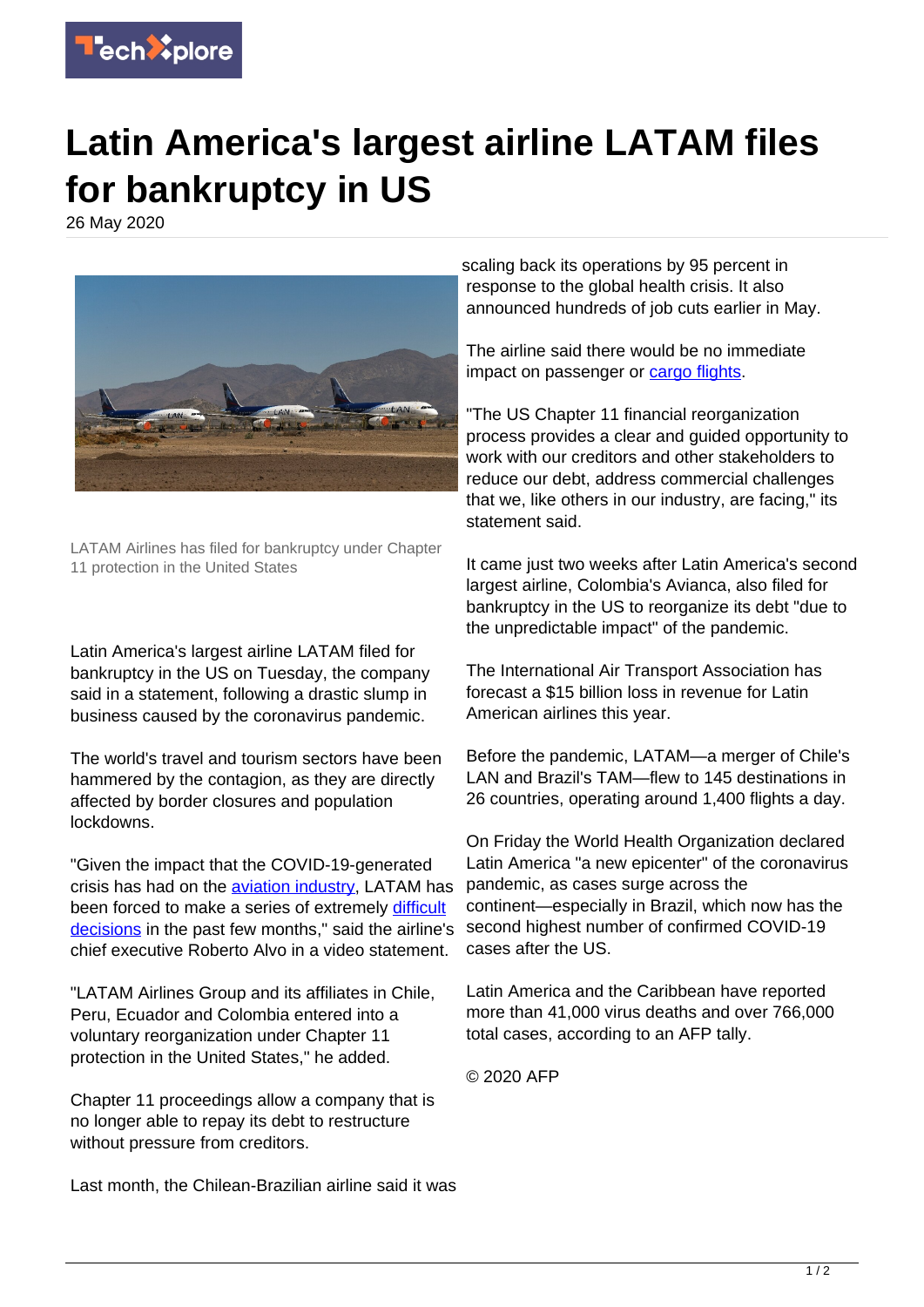

## **Latin America's largest airline LATAM files for bankruptcy in US**

26 May 2020



LATAM Airlines has filed for bankruptcy under Chapter 11 protection in the United States

Latin America's largest airline LATAM filed for bankruptcy in the US on Tuesday, the company said in a statement, following a drastic slump in business caused by the coronavirus pandemic.

The world's travel and tourism sectors have been hammered by the contagion, as they are directly affected by border closures and population lockdowns.

"Given the impact that the COVID-19-generated crisis has had on the [aviation industry,](https://techxplore.com/tags/aviation+industry/) LATAM has been forced to make a series of extremely [difficult](https://techxplore.com/tags/difficult+decisions/) [decisions](https://techxplore.com/tags/difficult+decisions/) in the past few months," said the airline's chief executive Roberto Alvo in a video statement.

"LATAM Airlines Group and its affiliates in Chile, Peru, Ecuador and Colombia entered into a voluntary reorganization under Chapter 11 protection in the United States," he added.

Chapter 11 proceedings allow a company that is no longer able to repay its debt to restructure without pressure from creditors.

Last month, the Chilean-Brazilian airline said it was

scaling back its operations by 95 percent in response to the global health crisis. It also announced hundreds of job cuts earlier in May.

The airline said there would be no immediate impact on passenger or [cargo flights.](https://techxplore.com/tags/cargo+flights/)

"The US Chapter 11 financial reorganization process provides a clear and guided opportunity to work with our creditors and other stakeholders to reduce our debt, address commercial challenges that we, like others in our industry, are facing," its statement said.

It came just two weeks after Latin America's second largest airline, Colombia's Avianca, also filed for bankruptcy in the US to reorganize its debt "due to the unpredictable impact" of the pandemic.

The International Air Transport Association has forecast a \$15 billion loss in revenue for Latin American airlines this year.

Before the pandemic, LATAM—a merger of Chile's LAN and Brazil's TAM—flew to 145 destinations in 26 countries, operating around 1,400 flights a day.

On Friday the World Health Organization declared Latin America "a new epicenter" of the coronavirus pandemic, as cases surge across the continent—especially in Brazil, which now has the second highest number of confirmed COVID-19 cases after the US.

Latin America and the Caribbean have reported more than 41,000 virus deaths and over 766,000 total cases, according to an AFP tally.

© 2020 AFP